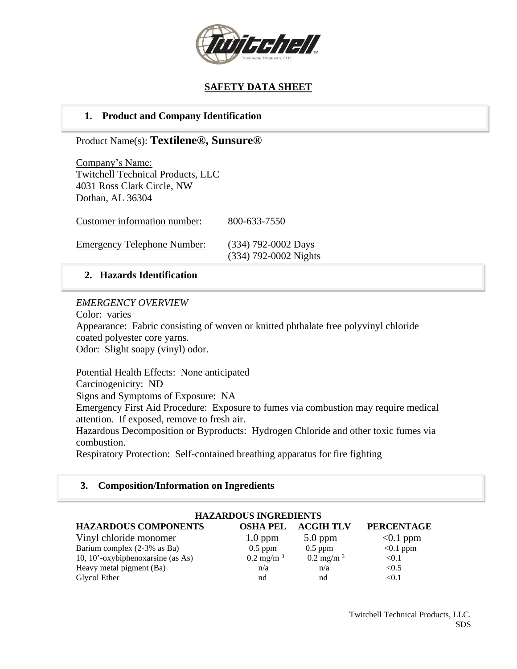

# **SAFETY DATA SHEET**

# **1. Product and Company Identification**

## Product Name(s): **Textilene®, Sunsure®**

Company's Name: Twitchell Technical Products, LLC 4031 Ross Clark Circle, NW Dothan, AL 36304

Customer information number: 800-633-7550

Emergency Telephone Number: (334) 792-0002 Days

(334) 792-0002 Nights

## **2. Hazards Identification**

## *EMERGENCY OVERVIEW*

Color: varies

Appearance: Fabric consisting of woven or knitted phthalate free polyvinyl chloride coated polyester core yarns.

Odor: Slight soapy (vinyl) odor.

Potential Health Effects: None anticipated Carcinogenicity: ND Signs and Symptoms of Exposure: NA Emergency First Aid Procedure: Exposure to fumes via combustion may require medical attention. If exposed, remove to fresh air. Hazardous Decomposition or Byproducts: Hydrogen Chloride and other toxic fumes via combustion. Respiratory Protection: Self-contained breathing apparatus for fire fighting

## **3. Composition/Information on Ingredients**

| <b>HAZARDOUS INGREDIENTS</b>      |                      |                      |                   |  |  |  |
|-----------------------------------|----------------------|----------------------|-------------------|--|--|--|
| <b>HAZARDOUS COMPONENTS</b>       | <b>OSHA PEL</b>      | <b>ACGIH TLV</b>     | <b>PERCENTAGE</b> |  |  |  |
| Vinyl chloride monomer            | $1.0$ ppm            | $5.0$ ppm            | $< 0.1$ ppm       |  |  |  |
| Barium complex (2-3% as Ba)       | $0.5$ ppm            | $0.5$ ppm            | $< 0.1$ ppm       |  |  |  |
| 10, 10'-oxybiphenoxarsine (as As) | $0.2 \text{ mg/m}^3$ | $0.2 \text{ mg/m}^3$ | < 0.1             |  |  |  |
| Heavy metal pigment (Ba)          | n/a                  | n/a                  | < 0.5             |  |  |  |
| Glycol Ether                      | nd                   | nd                   | < 0.1             |  |  |  |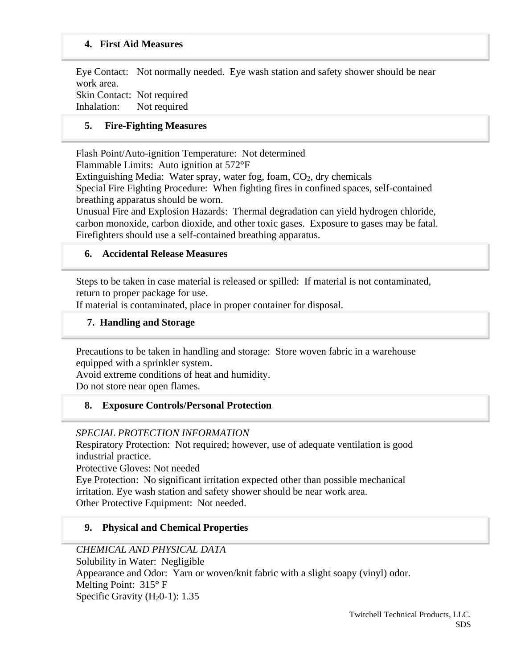### **4. First Aid Measures**

Eye Contact: Not normally needed. Eye wash station and safety shower should be near work area. Skin Contact: Not required

Inhalation: Not required

### **5. Fire-Fighting Measures**

Flash Point/Auto-ignition Temperature: Not determined Flammable Limits: Auto ignition at 572°F Extinguishing Media: Water spray, water fog, foam,  $CO<sub>2</sub>$ , dry chemicals Special Fire Fighting Procedure: When fighting fires in confined spaces, self-contained breathing apparatus should be worn. Unusual Fire and Explosion Hazards: Thermal degradation can yield hydrogen chloride, carbon monoxide, carbon dioxide, and other toxic gases. Exposure to gases may be fatal.

Firefighters should use a self-contained breathing apparatus.

#### **6. Accidental Release Measures**

Steps to be taken in case material is released or spilled: If material is not contaminated, return to proper package for use.

If material is contaminated, place in proper container for disposal.

### **7. Handling and Storage**

Precautions to be taken in handling and storage: Store woven fabric in a warehouse equipped with a sprinkler system.

Avoid extreme conditions of heat and humidity. Do not store near open flames.

### **8. Exposure Controls/Personal Protection**

#### *SPECIAL PROTECTION INFORMATION*

Respiratory Protection: Not required; however, use of adequate ventilation is good industrial practice.

Protective Gloves: Not needed

Eye Protection: No significant irritation expected other than possible mechanical irritation. Eye wash station and safety shower should be near work area. Other Protective Equipment: Not needed.

### **9. Physical and Chemical Properties**

### *CHEMICAL AND PHYSICAL DATA*

Solubility in Water: Negligible Appearance and Odor: Yarn or woven/knit fabric with a slight soapy (vinyl) odor. Melting Point: 315° F Specific Gravity  $(H<sub>2</sub>0-1)$ : 1.35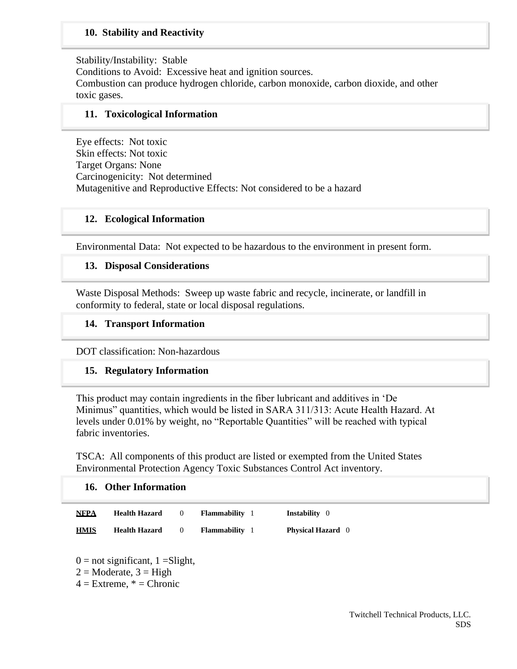## **10. Stability and Reactivity**

Stability/Instability: Stable Conditions to Avoid: Excessive heat and ignition sources. Combustion can produce hydrogen chloride, carbon monoxide, carbon dioxide, and other toxic gases.

### **11. Toxicological Information**

Eye effects: Not toxic Skin effects: Not toxic Target Organs: None Carcinogenicity: Not determined Mutagenitive and Reproductive Effects: Not considered to be a hazard

#### **12. Ecological Information**

Environmental Data: Not expected to be hazardous to the environment in present form.

#### **13. Disposal Considerations**

Waste Disposal Methods: Sweep up waste fabric and recycle, incinerate, or landfill in conformity to federal, state or local disposal regulations.

#### **14. Transport Information**

DOT classification: Non-hazardous

#### **15. Regulatory Information**

This product may contain ingredients in the fiber lubricant and additives in 'De Minimus" quantities, which would be listed in SARA 311/313: Acute Health Hazard. At levels under 0.01% by weight, no "Reportable Quantities" will be reached with typical fabric inventories.

TSCA: All components of this product are listed or exempted from the United States Environmental Protection Agency Toxic Substances Control Act inventory.

#### **16. Other Information**

| <b>NFPA</b> | <b>Health Hazard</b> | <b>Flammability</b> 1 | <b>Instability</b> 0     |
|-------------|----------------------|-----------------------|--------------------------|
| <b>HMIS</b> | <b>Health Hazard</b> | <b>Flammability</b> 1 | <b>Physical Hazard</b> 0 |

 $0 =$  not significant,  $1 =$ Slight,  $2 = \text{Modern}$ ,  $3 = \text{High}$  $4 =$  Extreme,  $* =$  Chronic